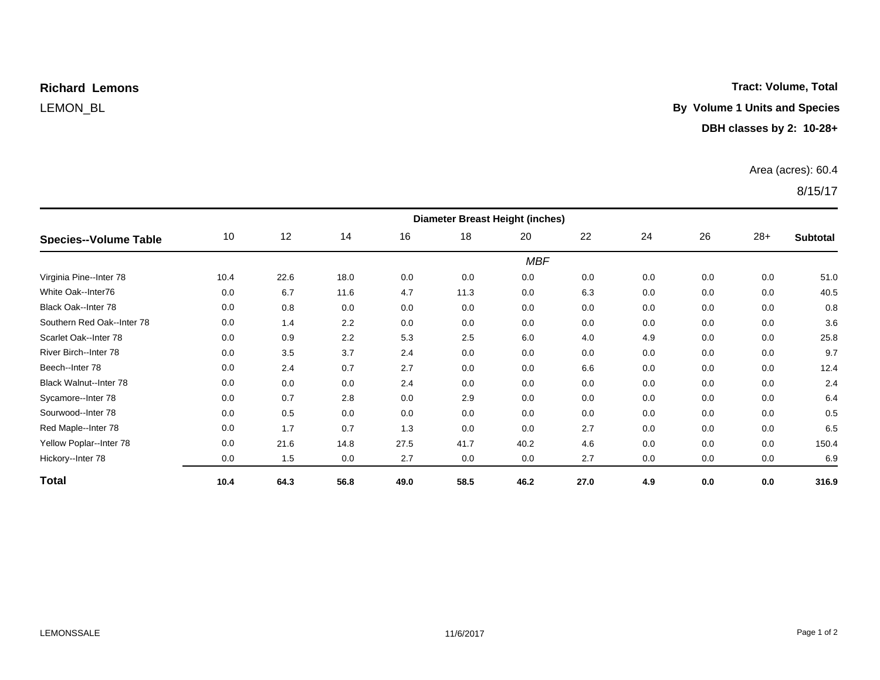## **Richard Lemons**

#### **Tract: Volume, Total**

### LEMON\_BL **By Volume 1 Units and Species**

#### **DBH classes by 2: 10-28+**

#### Area (acres): 60.4

#### 8/15/17

| <b>Species--Volume Table</b>  | <b>Diameter Breast Height (inches)</b> |      |      |      |      |      |      |     |     |       |                 |  |
|-------------------------------|----------------------------------------|------|------|------|------|------|------|-----|-----|-------|-----------------|--|
|                               | 10                                     | 12   | 14   | 16   | 18   | 20   | 22   | 24  | 26  | $28+$ | <b>Subtotal</b> |  |
|                               | <b>MBF</b>                             |      |      |      |      |      |      |     |     |       |                 |  |
| Virginia Pine--Inter 78       | 10.4                                   | 22.6 | 18.0 | 0.0  | 0.0  | 0.0  | 0.0  | 0.0 | 0.0 | 0.0   | 51.0            |  |
| White Oak--Inter76            | 0.0                                    | 6.7  | 11.6 | 4.7  | 11.3 | 0.0  | 6.3  | 0.0 | 0.0 | 0.0   | 40.5            |  |
| <b>Black Oak--Inter 78</b>    | 0.0                                    | 0.8  | 0.0  | 0.0  | 0.0  | 0.0  | 0.0  | 0.0 | 0.0 | 0.0   | 0.8             |  |
| Southern Red Oak--Inter 78    | 0.0                                    | 1.4  | 2.2  | 0.0  | 0.0  | 0.0  | 0.0  | 0.0 | 0.0 | 0.0   | 3.6             |  |
| Scarlet Oak--Inter 78         | 0.0                                    | 0.9  | 2.2  | 5.3  | 2.5  | 6.0  | 4.0  | 4.9 | 0.0 | 0.0   | 25.8            |  |
| River Birch--Inter 78         | 0.0                                    | 3.5  | 3.7  | 2.4  | 0.0  | 0.0  | 0.0  | 0.0 | 0.0 | 0.0   | 9.7             |  |
| Beech--Inter 78               | 0.0                                    | 2.4  | 0.7  | 2.7  | 0.0  | 0.0  | 6.6  | 0.0 | 0.0 | 0.0   | 12.4            |  |
| <b>Black Walnut--Inter 78</b> | 0.0                                    | 0.0  | 0.0  | 2.4  | 0.0  | 0.0  | 0.0  | 0.0 | 0.0 | 0.0   | 2.4             |  |
| Sycamore--Inter 78            | 0.0                                    | 0.7  | 2.8  | 0.0  | 2.9  | 0.0  | 0.0  | 0.0 | 0.0 | 0.0   | 6.4             |  |
| Sourwood--Inter 78            | 0.0                                    | 0.5  | 0.0  | 0.0  | 0.0  | 0.0  | 0.0  | 0.0 | 0.0 | 0.0   | 0.5             |  |
| Red Maple--Inter 78           | 0.0                                    | 1.7  | 0.7  | 1.3  | 0.0  | 0.0  | 2.7  | 0.0 | 0.0 | 0.0   | 6.5             |  |
| Yellow Poplar--Inter 78       | 0.0                                    | 21.6 | 14.8 | 27.5 | 41.7 | 40.2 | 4.6  | 0.0 | 0.0 | 0.0   | 150.4           |  |
| Hickory--Inter 78             | 0.0                                    | 1.5  | 0.0  | 2.7  | 0.0  | 0.0  | 2.7  | 0.0 | 0.0 | 0.0   | 6.9             |  |
| <b>Total</b>                  | 10.4                                   | 64.3 | 56.8 | 49.0 | 58.5 | 46.2 | 27.0 | 4.9 | 0.0 | 0.0   | 316.9           |  |